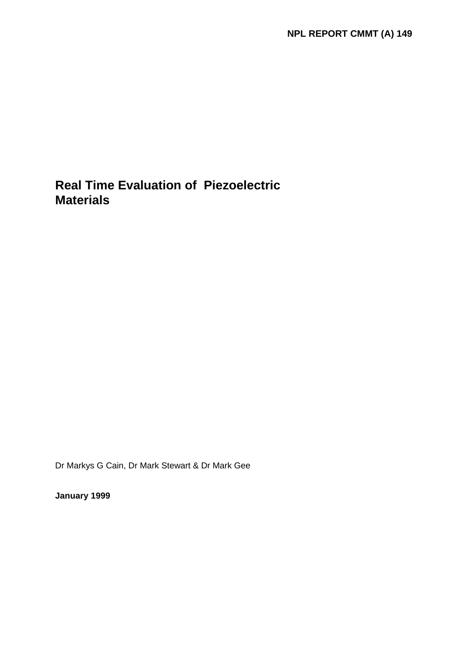# **Real Time Evaluation of Piezoelectric Materials**

Dr Markys G Cain, Dr Mark Stewart & Dr Mark Gee

**January 1999**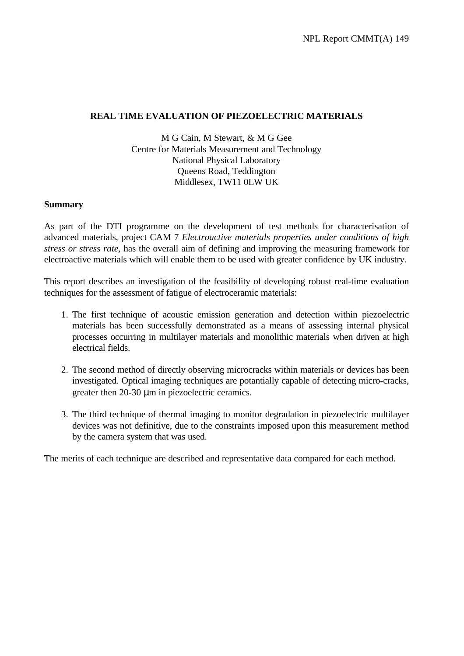#### **REAL TIME EVALUATION OF PIEZOELECTRIC MATERIALS**

M G Cain, M Stewart, & M G Gee Centre for Materials Measurement and Technology National Physical Laboratory Queens Road, Teddington Middlesex, TW11 0LW UK

#### **Summary**

As part of the DTI programme on the development of test methods for characterisation of advanced materials, project CAM 7 *Electroactive materials properties under conditions of high stress or stress rate*, has the overall aim of defining and improving the measuring framework for electroactive materials which will enable them to be used with greater confidence by UK industry.

This report describes an investigation of the feasibility of developing robust real-time evaluation techniques for the assessment of fatigue of electroceramic materials:

- 1. The first technique of acoustic emission generation and detection within piezoelectric materials has been successfully demonstrated as a means of assessing internal physical processes occurring in multilayer materials and monolithic materials when driven at high electrical fields.
- 2. The second method of directly observing microcracks within materials or devices has been investigated. Optical imaging techniques are potantially capable of detecting micro-cracks, greater then 20-30 μm in piezoelectric ceramics.
- 3. The third technique of thermal imaging to monitor degradation in piezoelectric multilayer devices was not definitive, due to the constraints imposed upon this measurement method by the camera system that was used.

The merits of each technique are described and representative data compared for each method.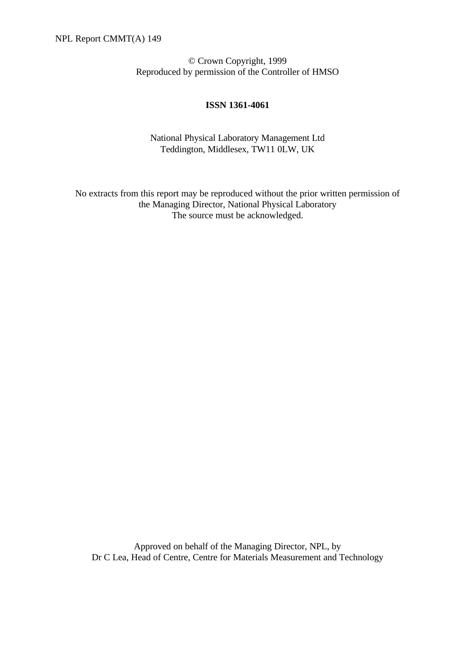© Crown Copyright, 1999 Reproduced by permission of the Controller of HMSO

#### **ISSN 1361-4061**

National Physical Laboratory Management Ltd Teddington, Middlesex, TW11 0LW, UK

No extracts from this report may be reproduced without the prior written permission of the Managing Director, National Physical Laboratory The source must be acknowledged.

Approved on behalf of the Managing Director, NPL, by Dr C Lea, Head of Centre, Centre for Materials Measurement and Technology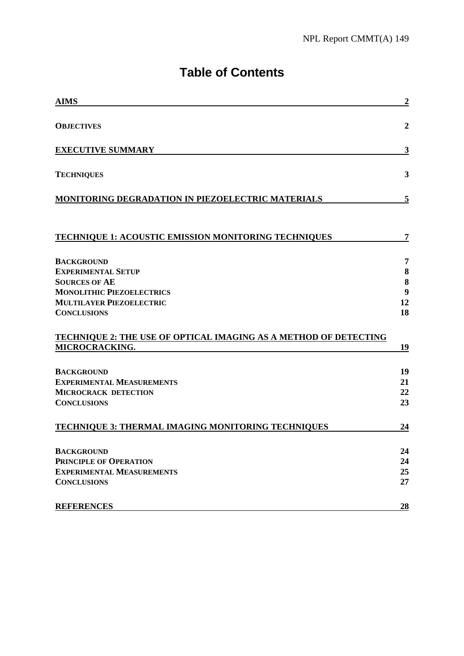# **Table of Contents**

| <b>AIMS</b>                                                      | $\boldsymbol{2}$ |
|------------------------------------------------------------------|------------------|
| <b>OBJECTIVES</b>                                                | $\boldsymbol{2}$ |
| <b>EXECUTIVE SUMMARY</b>                                         | 3                |
| <b>TECHNIQUES</b>                                                | 3                |
| MONITORING DEGRADATION IN PIEZOELECTRIC MATERIALS                | 5                |
| TECHNIQUE 1: ACOUSTIC EMISSION MONITORING TECHNIQUES             | 7                |
| <b>BACKGROUND</b>                                                | 7                |
| <b>EXPERIMENTAL SETUP</b>                                        | 8                |
| <b>SOURCES OF AE</b>                                             | 8                |
| <b>MONOLITHIC PIEZOELECTRICS</b>                                 | 9                |
| <b>MULTILAYER PIEZOELECTRIC</b>                                  | 12               |
| <b>CONCLUSIONS</b>                                               | 18               |
| TECHNIQUE 2: THE USE OF OPTICAL IMAGING AS A METHOD OF DETECTING |                  |
| MICROCRACKING.                                                   | 19               |
| <b>BACKGROUND</b>                                                | 19               |
| <b>EXPERIMENTAL MEASUREMENTS</b>                                 | 21               |
| <b>MICROCRACK DETECTION</b>                                      | 22               |
| <b>CONCLUSIONS</b>                                               | 23               |
| <b>TECHNIQUE 3: THERMAL IMAGING MONITORING TECHNIQUES</b>        | 24               |
| <b>BACKGROUND</b>                                                | 24               |
| PRINCIPLE OF OPERATION                                           | 24               |
| <b>EXPERIMENTAL MEASUREMENTS</b>                                 | 25               |
| <b>CONCLUSIONS</b>                                               | 27               |
| <b>REFERENCES</b>                                                | <u>28</u>        |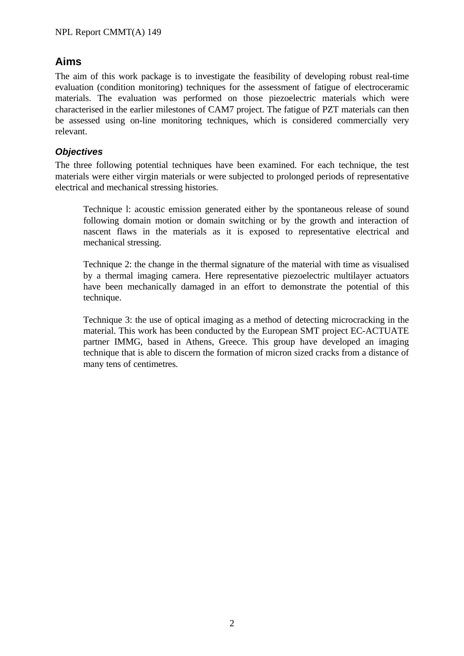# **Aims**

The aim of this work package is to investigate the feasibility of developing robust real-time evaluation (condition monitoring) techniques for the assessment of fatigue of electroceramic materials. The evaluation was performed on those piezoelectric materials which were characterised in the earlier milestones of CAM7 project. The fatigue of PZT materials can then be assessed using on-line monitoring techniques, which is considered commercially very relevant.

## *Objectives*

The three following potential techniques have been examined. For each technique, the test materials were either virgin materials or were subjected to prolonged periods of representative electrical and mechanical stressing histories.

Technique l: acoustic emission generated either by the spontaneous release of sound following domain motion or domain switching or by the growth and interaction of nascent flaws in the materials as it is exposed to representative electrical and mechanical stressing.

Technique 2: the change in the thermal signature of the material with time as visualised by a thermal imaging camera. Here representative piezoelectric multilayer actuators have been mechanically damaged in an effort to demonstrate the potential of this technique.

Technique 3: the use of optical imaging as a method of detecting microcracking in the material. This work has been conducted by the European SMT project EC-ACTUATE partner IMMG, based in Athens, Greece. This group have developed an imaging technique that is able to discern the formation of micron sized cracks from a distance of many tens of centimetres.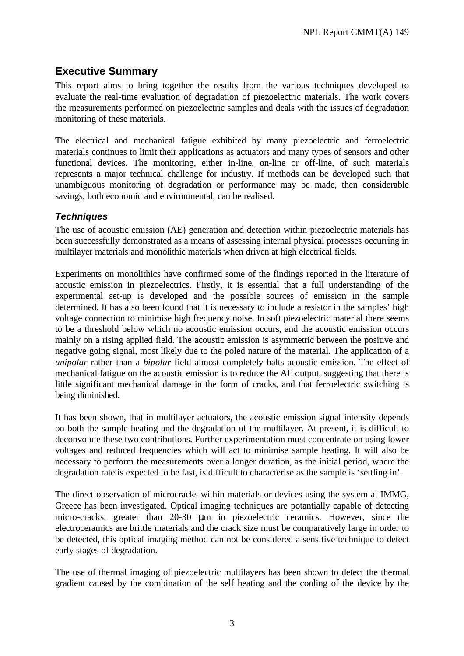# **Executive Summary**

This report aims to bring together the results from the various techniques developed to evaluate the real-time evaluation of degradation of piezoelectric materials. The work covers the measurements performed on piezoelectric samples and deals with the issues of degradation monitoring of these materials.

The electrical and mechanical fatigue exhibited by many piezoelectric and ferroelectric materials continues to limit their applications as actuators and many types of sensors and other functional devices. The monitoring, either in-line, on-line or off-line, of such materials represents a major technical challenge for industry. If methods can be developed such that unambiguous monitoring of degradation or performance may be made, then considerable savings, both economic and environmental, can be realised.

## *Techniques*

The use of acoustic emission (AE) generation and detection within piezoelectric materials has been successfully demonstrated as a means of assessing internal physical processes occurring in multilayer materials and monolithic materials when driven at high electrical fields.

Experiments on monolithics have confirmed some of the findings reported in the literature of acoustic emission in piezoelectrics. Firstly, it is essential that a full understanding of the experimental set-up is developed and the possible sources of emission in the sample determined. It has also been found that it is necessary to include a resistor in the samples' high voltage connection to minimise high frequency noise. In soft piezoelectric material there seems to be a threshold below which no acoustic emission occurs, and the acoustic emission occurs mainly on a rising applied field. The acoustic emission is asymmetric between the positive and negative going signal, most likely due to the poled nature of the material. The application of a *unipolar* rather than a *bipolar* field almost completely halts acoustic emission. The effect of mechanical fatigue on the acoustic emission is to reduce the AE output, suggesting that there is little significant mechanical damage in the form of cracks, and that ferroelectric switching is being diminished.

It has been shown, that in multilayer actuators, the acoustic emission signal intensity depends on both the sample heating and the degradation of the multilayer. At present, it is difficult to deconvolute these two contributions. Further experimentation must concentrate on using lower voltages and reduced frequencies which will act to minimise sample heating. It will also be necessary to perform the measurements over a longer duration, as the initial period, where the degradation rate is expected to be fast, is difficult to characterise as the sample is 'settling in'.

The direct observation of microcracks within materials or devices using the system at IMMG, Greece has been investigated. Optical imaging techniques are potantially capable of detecting micro-cracks, greater than 20-30 μm in piezoelectric ceramics. However, since the electroceramics are brittle materials and the crack size must be comparatively large in order to be detected, this optical imaging method can not be considered a sensitive technique to detect early stages of degradation.

The use of thermal imaging of piezoelectric multilayers has been shown to detect the thermal gradient caused by the combination of the self heating and the cooling of the device by the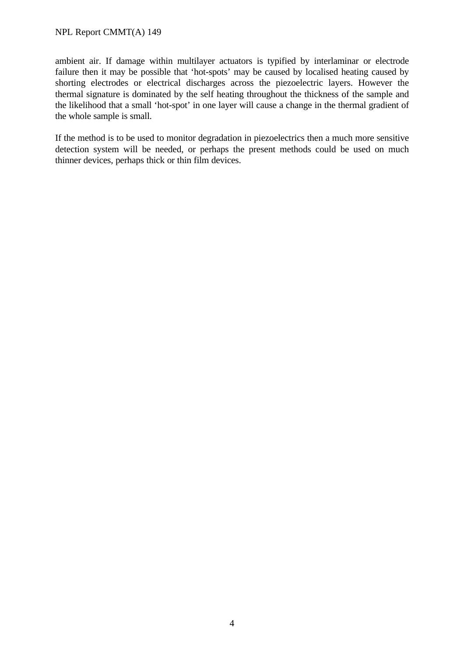ambient air. If damage within multilayer actuators is typified by interlaminar or electrode failure then it may be possible that 'hot-spots' may be caused by localised heating caused by shorting electrodes or electrical discharges across the piezoelectric layers. However the thermal signature is dominated by the self heating throughout the thickness of the sample and the likelihood that a small 'hot-spot' in one layer will cause a change in the thermal gradient of the whole sample is small.

If the method is to be used to monitor degradation in piezoelectrics then a much more sensitive detection system will be needed, or perhaps the present methods could be used on much thinner devices, perhaps thick or thin film devices.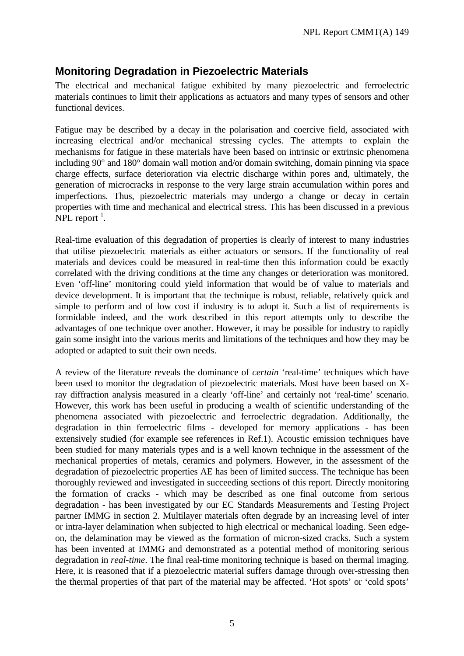## **Monitoring Degradation in Piezoelectric Materials**

The electrical and mechanical fatigue exhibited by many piezoelectric and ferroelectric materials continues to limit their applications as actuators and many types of sensors and other functional devices.

Fatigue may be described by a decay in the polarisation and coercive field, associated with increasing electrical and/or mechanical stressing cycles. The attempts to explain the mechanisms for fatigue in these materials have been based on intrinsic or extrinsic phenomena including 90° and 180° domain wall motion and/or domain switching, domain pinning via space charge effects, surface deterioration via electric discharge within pores and, ultimately, the generation of microcracks in response to the very large strain accumulation within pores and imperfections. Thus, piezoelectric materials may undergo a change or decay in certain properties with time and mechanical and electrical stress. This has been discussed in a previous NPL report  $^1$ .

Real-time evaluation of this degradation of properties is clearly of interest to many industries that utilise piezoelectric materials as either actuators or sensors. If the functionality of real materials and devices could be measured in real-time then this information could be exactly correlated with the driving conditions at the time any changes or deterioration was monitored. Even 'off-line' monitoring could yield information that would be of value to materials and device development. It is important that the technique is robust, reliable, relatively quick and simple to perform and of low cost if industry is to adopt it. Such a list of requirements is formidable indeed, and the work described in this report attempts only to describe the advantages of one technique over another. However, it may be possible for industry to rapidly gain some insight into the various merits and limitations of the techniques and how they may be adopted or adapted to suit their own needs.

A review of the literature reveals the dominance of *certain* 'real-time' techniques which have been used to monitor the degradation of piezoelectric materials. Most have been based on Xray diffraction analysis measured in a clearly 'off-line' and certainly not 'real-time' scenario. However, this work has been useful in producing a wealth of scientific understanding of the phenomena associated with piezoelectric and ferroelectric degradation. Additionally, the degradation in thin ferroelectric films - developed for memory applications - has been extensively studied (for example see references in Ref.1). Acoustic emission techniques have been studied for many materials types and is a well known technique in the assessment of the mechanical properties of metals, ceramics and polymers. However, in the assessment of the degradation of piezoelectric properties AE has been of limited success. The technique has been thoroughly reviewed and investigated in succeeding sections of this report. Directly monitoring the formation of cracks - which may be described as one final outcome from serious degradation - has been investigated by our EC Standards Measurements and Testing Project partner IMMG in section 2. Multilayer materials often degrade by an increasing level of inter or intra-layer delamination when subjected to high electrical or mechanical loading. Seen edgeon, the delamination may be viewed as the formation of micron-sized cracks. Such a system has been invented at IMMG and demonstrated as a potential method of monitoring serious degradation in *real-time*. The final real-time monitoring technique is based on thermal imaging. Here, it is reasoned that if a piezoelectric material suffers damage through over-stressing then the thermal properties of that part of the material may be affected. 'Hot spots' or 'cold spots'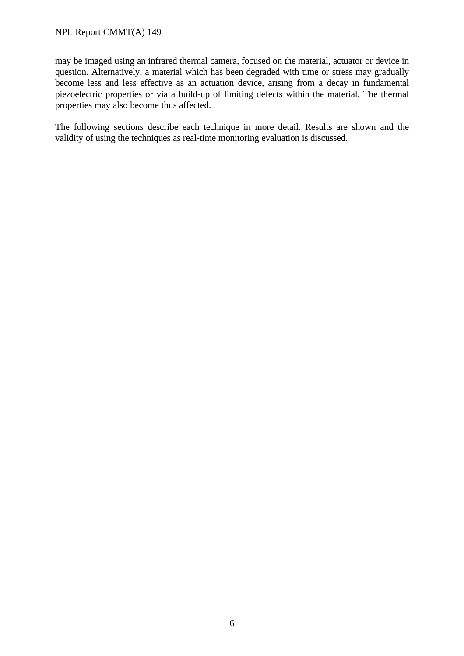#### NPL Report CMMT(A) 149

may be imaged using an infrared thermal camera, focused on the material, actuator or device in question. Alternatively, a material which has been degraded with time or stress may gradually become less and less effective as an actuation device, arising from a decay in fundamental piezoelectric properties or via a build-up of limiting defects within the material. The thermal properties may also become thus affected.

The following sections describe each technique in more detail. Results are shown and the validity of using the techniques as real-time monitoring evaluation is discussed.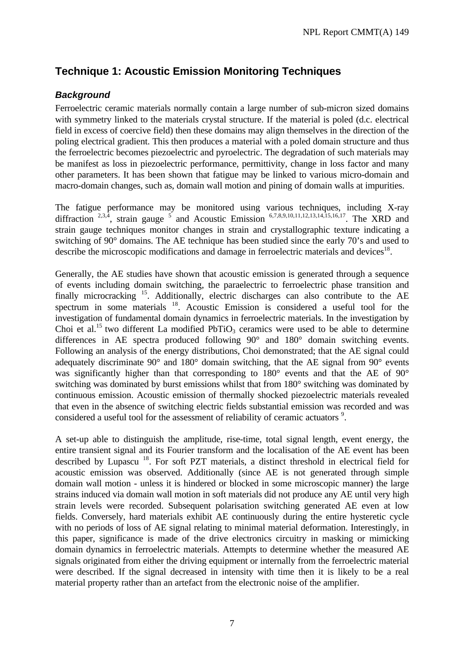# **Technique 1: Acoustic Emission Monitoring Techniques**

## *Background*

Ferroelectric ceramic materials normally contain a large number of sub-micron sized domains with symmetry linked to the materials crystal structure. If the material is poled (d.c. electrical field in excess of coercive field) then these domains may align themselves in the direction of the poling electrical gradient. This then produces a material with a poled domain structure and thus the ferroelectric becomes piezoelectric and pyroelectric. The degradation of such materials may be manifest as loss in piezoelectric performance, permittivity, change in loss factor and many other parameters. It has been shown that fatigue may be linked to various micro-domain and macro-domain changes, such as, domain wall motion and pining of domain walls at impurities.

The fatigue performance may be monitored using various techniques, including X-ray diffraction  $2,3,4$ , strain gauge  $5$  and Acoustic Emission  $6,7,8,9,10,11,12,13,14,15,16,17$ . The XRD and strain gauge techniques monitor changes in strain and crystallographic texture indicating a switching of 90° domains. The AE technique has been studied since the early 70's and used to describe the microscopic modifications and damage in ferroelectric materials and devices<sup>18</sup>.

Generally, the AE studies have shown that acoustic emission is generated through a sequence of events including domain switching, the paraelectric to ferroelectric phase transition and finally microcracking  $^{15}$ . Additionally, electric discharges can also contribute to the AE spectrum in some materials <sup>18</sup>. Acoustic Emission is considered a useful tool for the investigation of fundamental domain dynamics in ferroelectric materials. In the investigation by Choi et al.<sup>15</sup> two different La modified PbTiO<sub>3</sub> ceramics were used to be able to determine differences in AE spectra produced following 90° and 180° domain switching events. Following an analysis of the energy distributions, Choi demonstrated; that the AE signal could adequately discriminate 90° and 180° domain switching, that the AE signal from 90° events was significantly higher than that corresponding to 180° events and that the AE of 90° switching was dominated by burst emissions whilst that from 180° switching was dominated by continuous emission. Acoustic emission of thermally shocked piezoelectric materials revealed that even in the absence of switching electric fields substantial emission was recorded and was considered a useful tool for the assessment of reliability of ceramic actuators<sup>9</sup>.

A set-up able to distinguish the amplitude, rise-time, total signal length, event energy, the entire transient signal and its Fourier transform and the localisation of the AE event has been described by Lupascu<sup>18</sup>. For soft PZT materials, a distinct threshold in electrical field for acoustic emission was observed. Additionally (since AE is not generated through simple domain wall motion - unless it is hindered or blocked in some microscopic manner) the large strains induced via domain wall motion in soft materials did not produce any AE until very high strain levels were recorded. Subsequent polarisation switching generated AE even at low fields. Conversely, hard materials exhibit AE continuously during the entire hysteretic cycle with no periods of loss of AE signal relating to minimal material deformation. Interestingly, in this paper, significance is made of the drive electronics circuitry in masking or mimicking domain dynamics in ferroelectric materials. Attempts to determine whether the measured AE signals originated from either the driving equipment or internally from the ferroelectric material were described. If the signal decreased in intensity with time then it is likely to be a real material property rather than an artefact from the electronic noise of the amplifier.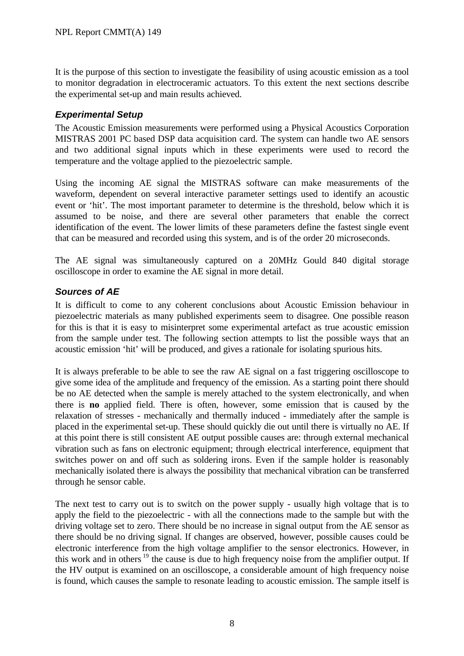It is the purpose of this section to investigate the feasibility of using acoustic emission as a tool to monitor degradation in electroceramic actuators. To this extent the next sections describe the experimental set-up and main results achieved.

## *Experimental Setup*

The Acoustic Emission measurements were performed using a Physical Acoustics Corporation MISTRAS 2001 PC based DSP data acquisition card. The system can handle two AE sensors and two additional signal inputs which in these experiments were used to record the temperature and the voltage applied to the piezoelectric sample.

Using the incoming AE signal the MISTRAS software can make measurements of the waveform, dependent on several interactive parameter settings used to identify an acoustic event or 'hit'. The most important parameter to determine is the threshold, below which it is assumed to be noise, and there are several other parameters that enable the correct identification of the event. The lower limits of these parameters define the fastest single event that can be measured and recorded using this system, and is of the order 20 microseconds.

The AE signal was simultaneously captured on a 20MHz Gould 840 digital storage oscilloscope in order to examine the AE signal in more detail.

## *Sources of AE*

It is difficult to come to any coherent conclusions about Acoustic Emission behaviour in piezoelectric materials as many published experiments seem to disagree. One possible reason for this is that it is easy to misinterpret some experimental artefact as true acoustic emission from the sample under test. The following section attempts to list the possible ways that an acoustic emission 'hit' will be produced, and gives a rationale for isolating spurious hits.

It is always preferable to be able to see the raw AE signal on a fast triggering oscilloscope to give some idea of the amplitude and frequency of the emission. As a starting point there should be no AE detected when the sample is merely attached to the system electronically, and when there is **no** applied field. There is often, however, some emission that is caused by the relaxation of stresses - mechanically and thermally induced - immediately after the sample is placed in the experimental set-up. These should quickly die out until there is virtually no AE. If at this point there is still consistent AE output possible causes are: through external mechanical vibration such as fans on electronic equipment; through electrical interference, equipment that switches power on and off such as soldering irons. Even if the sample holder is reasonably mechanically isolated there is always the possibility that mechanical vibration can be transferred through he sensor cable.

The next test to carry out is to switch on the power supply - usually high voltage that is to apply the field to the piezoelectric - with all the connections made to the sample but with the driving voltage set to zero. There should be no increase in signal output from the AE sensor as there should be no driving signal. If changes are observed, however, possible causes could be electronic interference from the high voltage amplifier to the sensor electronics. However, in this work and in others  $19$  the cause is due to high frequency noise from the amplifier output. If the HV output is examined on an oscilloscope, a considerable amount of high frequency noise is found, which causes the sample to resonate leading to acoustic emission. The sample itself is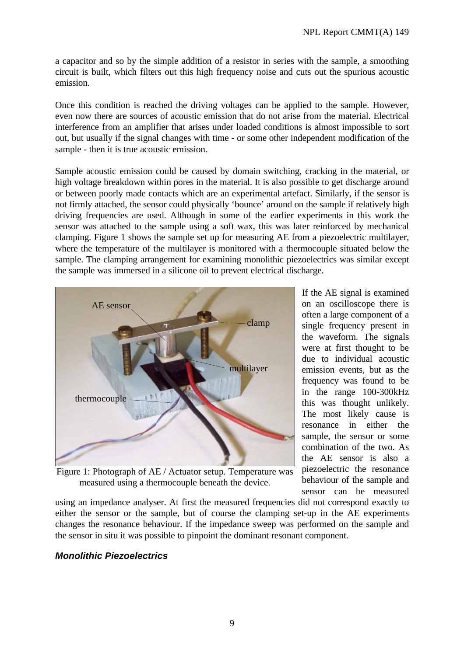a capacitor and so by the simple addition of a resistor in series with the sample, a smoothing circuit is built, which filters out this high frequency noise and cuts out the spurious acoustic emission.

Once this condition is reached the driving voltages can be applied to the sample. However, even now there are sources of acoustic emission that do not arise from the material. Electrical interference from an amplifier that arises under loaded conditions is almost impossible to sort out, but usually if the signal changes with time - or some other independent modification of the sample - then it is true acoustic emission.

Sample acoustic emission could be caused by domain switching, cracking in the material, or high voltage breakdown within pores in the material. It is also possible to get discharge around or between poorly made contacts which are an experimental artefact. Similarly, if the sensor is not firmly attached, the sensor could physically 'bounce' around on the sample if relatively high driving frequencies are used. Although in some of the earlier experiments in this work the sensor was attached to the sample using a soft wax, this was later reinforced by mechanical clamping. Figure 1 shows the sample set up for measuring AE from a piezoelectric multilayer, where the temperature of the multilayer is monitored with a thermocouple situated below the sample. The clamping arrangement for examining monolithic piezoelectrics was similar except the sample was immersed in a silicone oil to prevent electrical discharge.



Figure 1: Photograph of AE / Actuator setup. Temperature was measured using a thermocouple beneath the device.

If the AE signal is examined on an oscilloscope there is often a large component of a single frequency present in the waveform. The signals were at first thought to be due to individual acoustic emission events, but as the frequency was found to be in the range 100-300kHz this was thought unlikely. The most likely cause is resonance in either the sample, the sensor or some combination of the two. As the AE sensor is also a piezoelectric the resonance behaviour of the sample and sensor can be measured

using an impedance analyser. At first the measured frequencies did not correspond exactly to either the sensor or the sample, but of course the clamping set-up in the AE experiments changes the resonance behaviour. If the impedance sweep was performed on the sample and the sensor in situ it was possible to pinpoint the dominant resonant component.

## *Monolithic Piezoelectrics*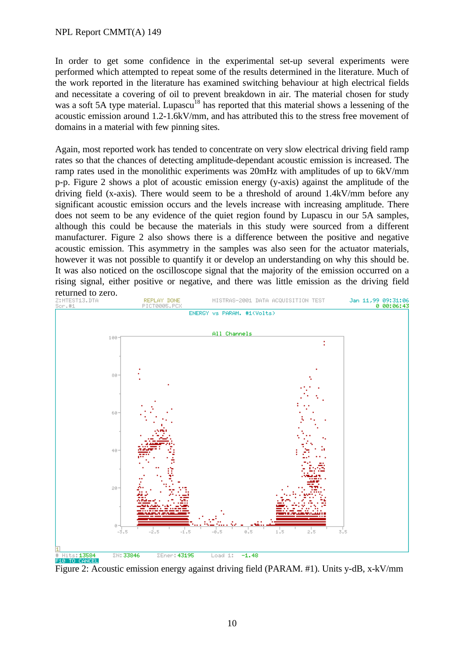#### NPL Report CMMT(A) 149

In order to get some confidence in the experimental set-up several experiments were performed which attempted to repeat some of the results determined in the literature. Much of the work reported in the literature has examined switching behaviour at high electrical fields and necessitate a covering of oil to prevent breakdown in air. The material chosen for study was a soft 5A type material. Lupascu<sup>18</sup> has reported that this material shows a lessening of the acoustic emission around 1.2-1.6kV/mm, and has attributed this to the stress free movement of domains in a material with few pinning sites.

Again, most reported work has tended to concentrate on very slow electrical driving field ramp rates so that the chances of detecting amplitude-dependant acoustic emission is increased. The ramp rates used in the monolithic experiments was 20mHz with amplitudes of up to 6kV/mm p-p. Figure 2 shows a plot of acoustic emission energy (y-axis) against the amplitude of the driving field (x-axis). There would seem to be a threshold of around 1.4kV/mm before any significant acoustic emission occurs and the levels increase with increasing amplitude. There does not seem to be any evidence of the quiet region found by Lupascu in our 5A samples, although this could be because the materials in this study were sourced from a different manufacturer. Figure 2 also shows there is a difference between the positive and negative acoustic emission. This asymmetry in the samples was also seen for the actuator materials, however it was not possible to quantify it or develop an understanding on why this should be. It was also noticed on the oscilloscope signal that the majority of the emission occurred on a rising signal, either positive or negative, and there was little emission as the driving field



Figure 2: Acoustic emission energy against driving field (PARAM. #1). Units y-dB, x-kV/mm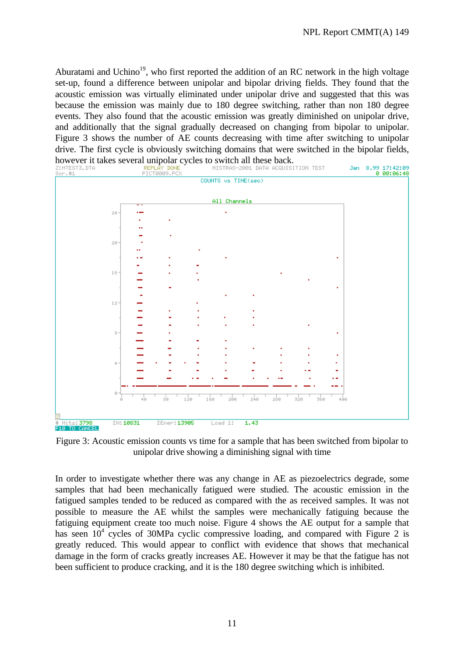Aburatami and Uchino<sup>19</sup>, who first reported the addition of an RC network in the high voltage set-up, found a difference between unipolar and bipolar driving fields. They found that the acoustic emission was virtually eliminated under unipolar drive and suggested that this was because the emission was mainly due to 180 degree switching, rather than non 180 degree events. They also found that the acoustic emission was greatly diminished on unipolar drive, and additionally that the signal gradually decreased on changing from bipolar to unipolar. Figure 3 shows the number of AE counts decreasing with time after switching to unipolar drive. The first cycle is obviously switching domains that were switched in the bipolar fields, however it takes several unipolar cycles to switch all these back.<br>  $\frac{\text{REPLAY DONE}}{\text{Sor. #1}}$  PICT0009.PCX<br>
FICT0009.PCX



Figure 3: Acoustic emission counts vs time for a sample that has been switched from bipolar to unipolar drive showing a diminishing signal with time

In order to investigate whether there was any change in AE as piezoelectrics degrade, some samples that had been mechanically fatigued were studied. The acoustic emission in the fatigued samples tended to be reduced as compared with the as received samples. It was not possible to measure the AE whilst the samples were mechanically fatiguing because the fatiguing equipment create too much noise. Figure 4 shows the AE output for a sample that has seen  $10^4$  cycles of 30MPa cyclic compressive loading, and compared with Figure 2 is greatly reduced. This would appear to conflict with evidence that shows that mechanical damage in the form of cracks greatly increases AE. However it may be that the fatigue has not been sufficient to produce cracking, and it is the 180 degree switching which is inhibited.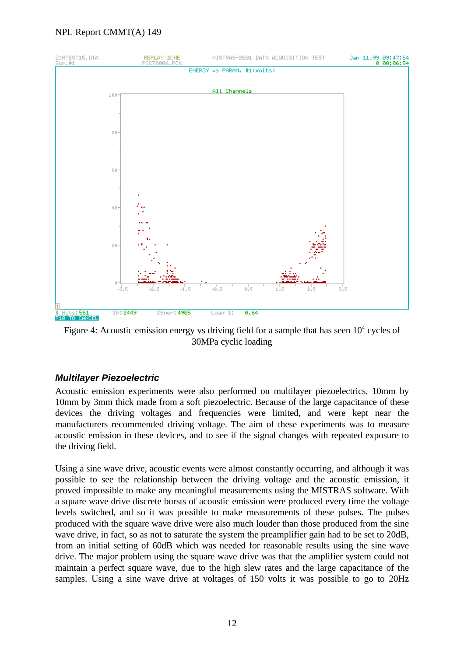#### NPL Report CMMT(A) 149



Figure 4: Acoustic emission energy vs driving field for a sample that has seen  $10<sup>4</sup>$  cycles of 30MPa cyclic loading

## *Multilayer Piezoelectric*

Acoustic emission experiments were also performed on multilayer piezoelectrics, 10mm by 10mm by 3mm thick made from a soft piezoelectric. Because of the large capacitance of these devices the driving voltages and frequencies were limited, and were kept near the manufacturers recommended driving voltage. The aim of these experiments was to measure acoustic emission in these devices, and to see if the signal changes with repeated exposure to the driving field.

Using a sine wave drive, acoustic events were almost constantly occurring, and although it was possible to see the relationship between the driving voltage and the acoustic emission, it proved impossible to make any meaningful measurements using the MISTRAS software. With a square wave drive discrete bursts of acoustic emission were produced every time the voltage levels switched, and so it was possible to make measurements of these pulses. The pulses produced with the square wave drive were also much louder than those produced from the sine wave drive, in fact, so as not to saturate the system the preamplifier gain had to be set to 20dB, from an initial setting of 60dB which was needed for reasonable results using the sine wave drive. The major problem using the square wave drive was that the amplifier system could not maintain a perfect square wave, due to the high slew rates and the large capacitance of the samples. Using a sine wave drive at voltages of 150 volts it was possible to go to 20Hz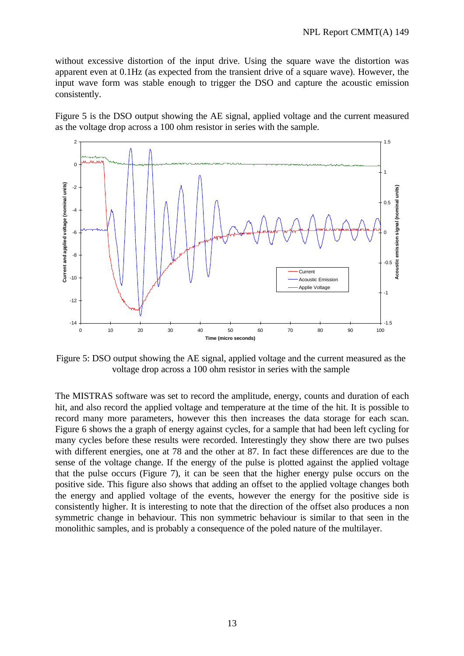without excessive distortion of the input drive. Using the square wave the distortion was apparent even at 0.1Hz (as expected from the transient drive of a square wave). However, the input wave form was stable enough to trigger the DSO and capture the acoustic emission consistently.

Figure 5 is the DSO output showing the AE signal, applied voltage and the current measured as the voltage drop across a 100 ohm resistor in series with the sample.



Figure 5: DSO output showing the AE signal, applied voltage and the current measured as the voltage drop across a 100 ohm resistor in series with the sample

The MISTRAS software was set to record the amplitude, energy, counts and duration of each hit, and also record the applied voltage and temperature at the time of the hit. It is possible to record many more parameters, however this then increases the data storage for each scan. Figure 6 shows the a graph of energy against cycles, for a sample that had been left cycling for many cycles before these results were recorded. Interestingly they show there are two pulses with different energies, one at 78 and the other at 87. In fact these differences are due to the sense of the voltage change. If the energy of the pulse is plotted against the applied voltage that the pulse occurs (Figure 7), it can be seen that the higher energy pulse occurs on the positive side. This figure also shows that adding an offset to the applied voltage changes both the energy and applied voltage of the events, however the energy for the positive side is consistently higher. It is interesting to note that the direction of the offset also produces a non symmetric change in behaviour. This non symmetric behaviour is similar to that seen in the monolithic samples, and is probably a consequence of the poled nature of the multilayer.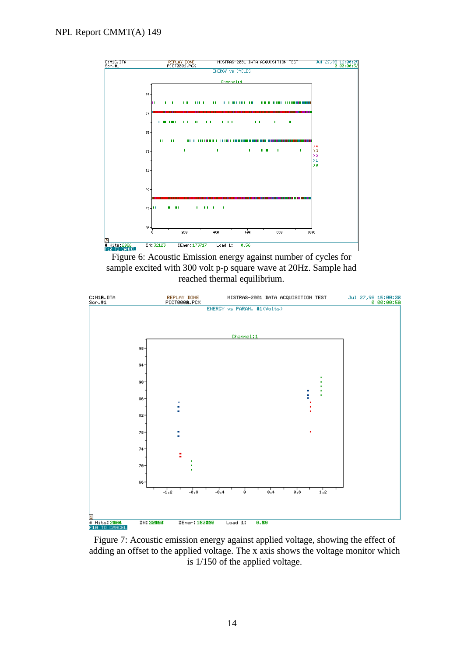

Figure 6: Acoustic Emission energy against number of cycles for sample excited with 300 volt p-p square wave at 20Hz. Sample had reached thermal equilibrium.



Figure 7: Acoustic emission energy against applied voltage, showing the effect of adding an offset to the applied voltage. The x axis shows the voltage monitor which is 1/150 of the applied voltage.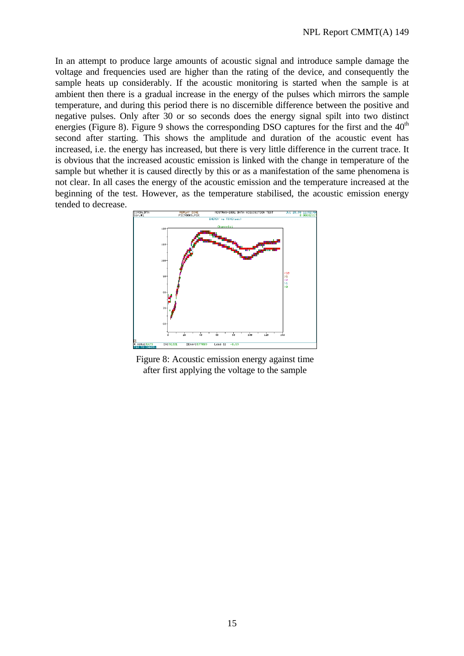In an attempt to produce large amounts of acoustic signal and introduce sample damage the voltage and frequencies used are higher than the rating of the device, and consequently the sample heats up considerably. If the acoustic monitoring is started when the sample is at ambient then there is a gradual increase in the energy of the pulses which mirrors the sample temperature, and during this period there is no discernible difference between the positive and negative pulses. Only after 30 or so seconds does the energy signal spilt into two distinct energies (Figure 8). Figure 9 shows the corresponding DSO captures for the first and the  $40<sup>th</sup>$ second after starting. This shows the amplitude and duration of the acoustic event has increased, i.e. the energy has increased, but there is very little difference in the current trace. It is obvious that the increased acoustic emission is linked with the change in temperature of the sample but whether it is caused directly by this or as a manifestation of the same phenomena is not clear. In all cases the energy of the acoustic emission and the temperature increased at the beginning of the test. However, as the temperature stabilised, the acoustic emission energy tended to decrease.



Figure 8: Acoustic emission energy against time after first applying the voltage to the sample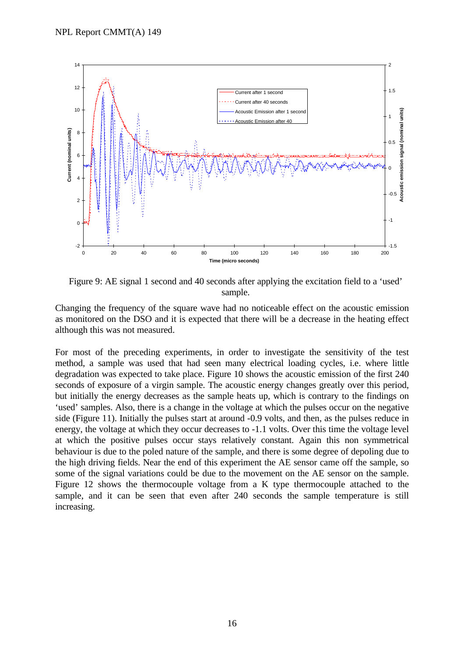

Figure 9: AE signal 1 second and 40 seconds after applying the excitation field to a 'used' sample.

Changing the frequency of the square wave had no noticeable effect on the acoustic emission as monitored on the DSO and it is expected that there will be a decrease in the heating effect although this was not measured.

For most of the preceding experiments, in order to investigate the sensitivity of the test method, a sample was used that had seen many electrical loading cycles, i.e. where little degradation was expected to take place. Figure 10 shows the acoustic emission of the first 240 seconds of exposure of a virgin sample. The acoustic energy changes greatly over this period, but initially the energy decreases as the sample heats up, which is contrary to the findings on 'used' samples. Also, there is a change in the voltage at which the pulses occur on the negative side (Figure 11). Initially the pulses start at around -0.9 volts, and then, as the pulses reduce in energy, the voltage at which they occur decreases to -1.1 volts. Over this time the voltage level at which the positive pulses occur stays relatively constant. Again this non symmetrical behaviour is due to the poled nature of the sample, and there is some degree of depoling due to the high driving fields. Near the end of this experiment the AE sensor came off the sample, so some of the signal variations could be due to the movement on the AE sensor on the sample. Figure 12 shows the thermocouple voltage from a K type thermocouple attached to the sample, and it can be seen that even after 240 seconds the sample temperature is still increasing.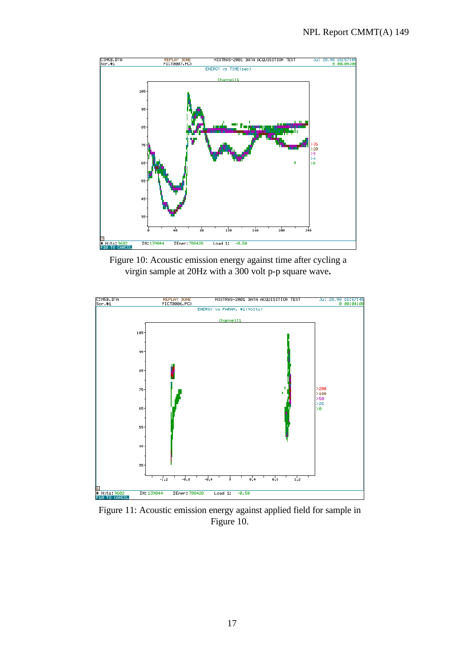

Figure 10: Acoustic emission energy against time after cycling a virgin sample at 20Hz with a 300 volt p-p square wave**.**



Figure 11: Acoustic emission energy against applied field for sample in Figure 10.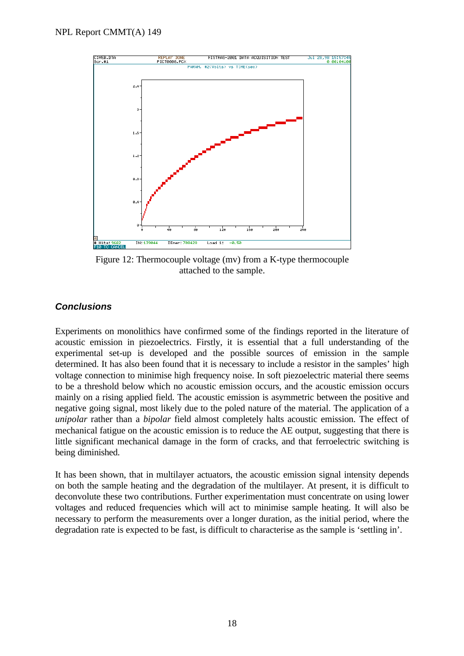

Figure 12: Thermocouple voltage (mv) from a K-type thermocouple attached to the sample.

### *Conclusions*

Experiments on monolithics have confirmed some of the findings reported in the literature of acoustic emission in piezoelectrics. Firstly, it is essential that a full understanding of the experimental set-up is developed and the possible sources of emission in the sample determined. It has also been found that it is necessary to include a resistor in the samples' high voltage connection to minimise high frequency noise. In soft piezoelectric material there seems to be a threshold below which no acoustic emission occurs, and the acoustic emission occurs mainly on a rising applied field. The acoustic emission is asymmetric between the positive and negative going signal, most likely due to the poled nature of the material. The application of a *unipolar* rather than a *bipolar* field almost completely halts acoustic emission. The effect of mechanical fatigue on the acoustic emission is to reduce the AE output, suggesting that there is little significant mechanical damage in the form of cracks, and that ferroelectric switching is being diminished.

It has been shown, that in multilayer actuators, the acoustic emission signal intensity depends on both the sample heating and the degradation of the multilayer. At present, it is difficult to deconvolute these two contributions. Further experimentation must concentrate on using lower voltages and reduced frequencies which will act to minimise sample heating. It will also be necessary to perform the measurements over a longer duration, as the initial period, where the degradation rate is expected to be fast, is difficult to characterise as the sample is 'settling in'.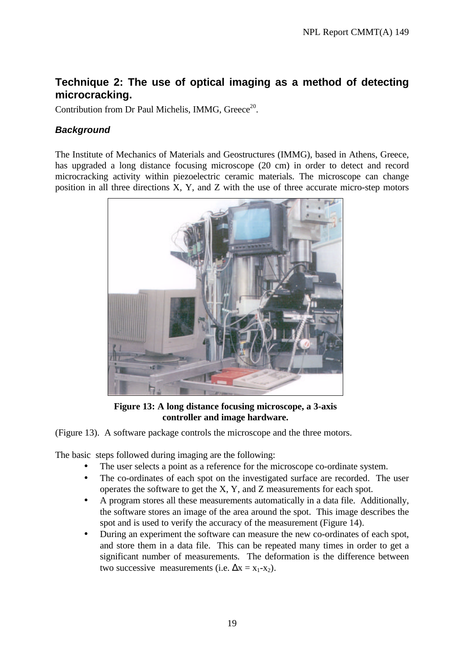# **Technique 2: The use of optical imaging as a method of detecting microcracking.**

Contribution from Dr Paul Michelis, IMMG, Greece<sup>20</sup>.

## *Background*

The Institute of Mechanics of Materials and Geostructures (IMMG), based in Athens, Greece, has upgraded a long distance focusing microscope (20 cm) in order to detect and record microcracking activity within piezoelectric ceramic materials. The microscope can change position in all three directions X, Y, and Z with the use of three accurate micro-step motors



**Figure 13: A long distance focusing microscope, a 3-axis controller and image hardware.**

(Figure 13). A software package controls the microscope and the three motors.

The basic steps followed during imaging are the following:

- The user selects a point as a reference for the microscope co-ordinate system.
- The co-ordinates of each spot on the investigated surface are recorded. The user operates the software to get the X, Y, and Z measurements for each spot.
- A program stores all these measurements automatically in a data file. Additionally, the software stores an image of the area around the spot. This image describes the spot and is used to verify the accuracy of the measurement (Figure 14).
- During an experiment the software can measure the new co-ordinates of each spot, and store them in a data file. This can be repeated many times in order to get a significant number of measurements. The deformation is the difference between two successive measurements (i.e.  $\Delta x = x_1-x_2$ ).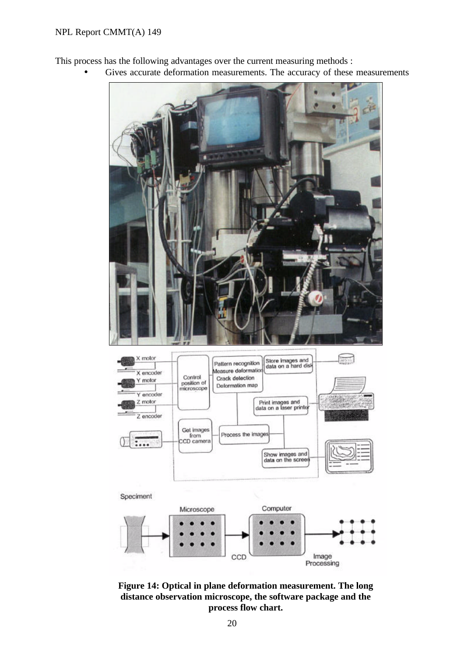This process has the following advantages over the current measuring methods :

Gives accurate deformation measurements. The accuracy of these measurements



**Figure 14: Optical in plane deformation measurement. The long distance observation microscope, the software package and the process flow chart.**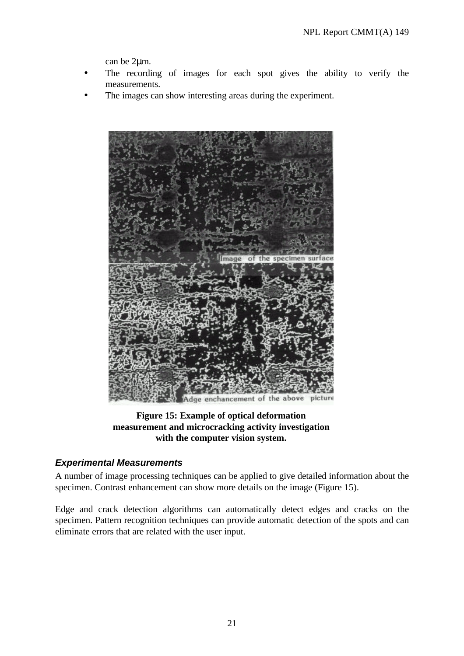can be 2μm.

- The recording of images for each spot gives the ability to verify the measurements.
- The images can show interesting areas during the experiment.



### **Figure 15: Example of optical deformation measurement and microcracking activity investigation with the computer vision system.**

#### *Experimental Measurements*

A number of image processing techniques can be applied to give detailed information about the specimen. Contrast enhancement can show more details on the image (Figure 15).

Edge and crack detection algorithms can automatically detect edges and cracks on the specimen. Pattern recognition techniques can provide automatic detection of the spots and can eliminate errors that are related with the user input.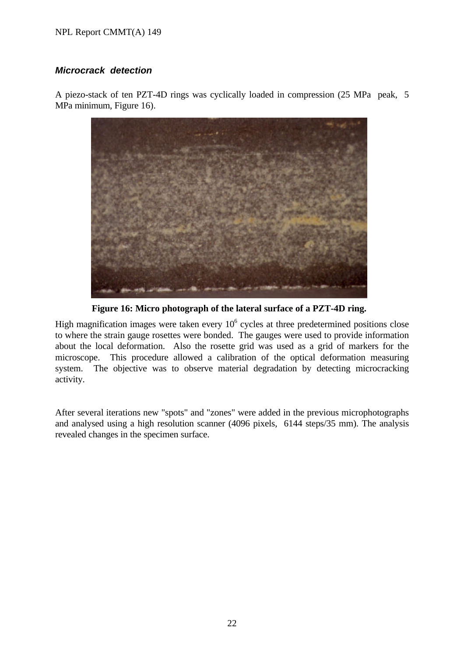#### NPL Report CMMT(A) 149

#### *Microcrack detection*

A piezo-stack of ten PZT-4D rings was cyclically loaded in compression (25 MPa peak, 5 MPa minimum, Figure 16).



**Figure 16: Micro photograph of the lateral surface of a PZT-4D ring.**

High magnification images were taken every  $10<sup>6</sup>$  cycles at three predetermined positions close to where the strain gauge rosettes were bonded. The gauges were used to provide information about the local deformation. Also the rosette grid was used as a grid of markers for the microscope. This procedure allowed a calibration of the optical deformation measuring system. The objective was to observe material degradation by detecting microcracking activity.

After several iterations new "spots" and "zones" were added in the previous microphotographs and analysed using a high resolution scanner (4096 pixels, 6144 steps/35 mm). The analysis revealed changes in the specimen surface.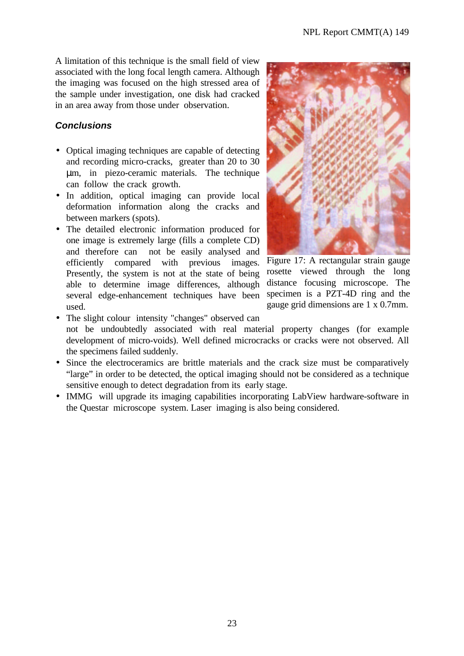A limitation of this technique is the small field of view associated with the long focal length camera. Although the imaging was focused on the high stressed area of the sample under investigation, one disk had cracked in an area away from those under observation.

## *Conclusions*

- Optical imaging techniques are capable of detecting and recording micro-cracks, greater than 20 to 30 μm, in piezo-ceramic materials. The technique can follow the crack growth.
- In addition, optical imaging can provide local deformation information along the cracks and between markers (spots).
- The detailed electronic information produced for one image is extremely large (fills a complete CD) and therefore can not be easily analysed and efficiently compared with previous images. Presently, the system is not at the state of being able to determine image differences, although several edge-enhancement techniques have been used.



Figure 17: A rectangular strain gauge rosette viewed through the long distance focusing microscope. The specimen is a PZT-4D ring and the gauge grid dimensions are 1 x 0.7mm.

- The slight colour intensity "changes" observed can not be undoubtedly associated with real material property changes (for example development of micro-voids). Well defined microcracks or cracks were not observed. All the specimens failed suddenly.
- Since the electroceramics are brittle materials and the crack size must be comparatively "large" in order to be detected, the optical imaging should not be considered as a technique sensitive enough to detect degradation from its early stage.
- IMMG will upgrade its imaging capabilities incorporating LabView hardware-software in the Questar microscope system. Laser imaging is also being considered.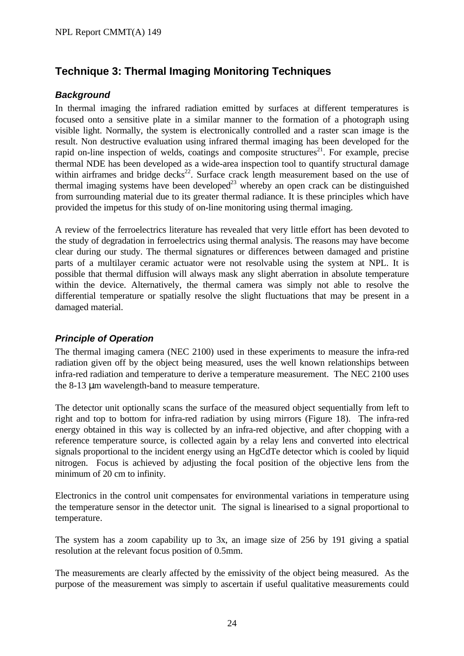# **Technique 3: Thermal Imaging Monitoring Techniques**

### *Background*

In thermal imaging the infrared radiation emitted by surfaces at different temperatures is focused onto a sensitive plate in a similar manner to the formation of a photograph using visible light. Normally, the system is electronically controlled and a raster scan image is the result. Non destructive evaluation using infrared thermal imaging has been developed for the rapid on-line inspection of welds, coatings and composite structures<sup>21</sup>. For example, precise thermal NDE has been developed as a wide-area inspection tool to quantify structural damage within airframes and bridge decks<sup>22</sup>. Surface crack length measurement based on the use of thermal imaging systems have been developed<sup>23</sup> whereby an open crack can be distinguished from surrounding material due to its greater thermal radiance. It is these principles which have provided the impetus for this study of on-line monitoring using thermal imaging.

A review of the ferroelectrics literature has revealed that very little effort has been devoted to the study of degradation in ferroelectrics using thermal analysis. The reasons may have become clear during our study. The thermal signatures or differences between damaged and pristine parts of a multilayer ceramic actuator were not resolvable using the system at NPL. It is possible that thermal diffusion will always mask any slight aberration in absolute temperature within the device. Alternatively, the thermal camera was simply not able to resolve the differential temperature or spatially resolve the slight fluctuations that may be present in a damaged material.

## *Principle of Operation*

The thermal imaging camera (NEC 2100) used in these experiments to measure the infra-red radiation given off by the object being measured, uses the well known relationships between infra-red radiation and temperature to derive a temperature measurement. The NEC 2100 uses the 8-13 μm wavelength-band to measure temperature.

The detector unit optionally scans the surface of the measured object sequentially from left to right and top to bottom for infra-red radiation by using mirrors (Figure 18). The infra-red energy obtained in this way is collected by an infra-red objective, and after chopping with a reference temperature source, is collected again by a relay lens and converted into electrical signals proportional to the incident energy using an HgCdTe detector which is cooled by liquid nitrogen. Focus is achieved by adjusting the focal position of the objective lens from the minimum of 20 cm to infinity.

Electronics in the control unit compensates for environmental variations in temperature using the temperature sensor in the detector unit. The signal is linearised to a signal proportional to temperature.

The system has a zoom capability up to 3x, an image size of 256 by 191 giving a spatial resolution at the relevant focus position of 0.5mm.

The measurements are clearly affected by the emissivity of the object being measured. As the purpose of the measurement was simply to ascertain if useful qualitative measurements could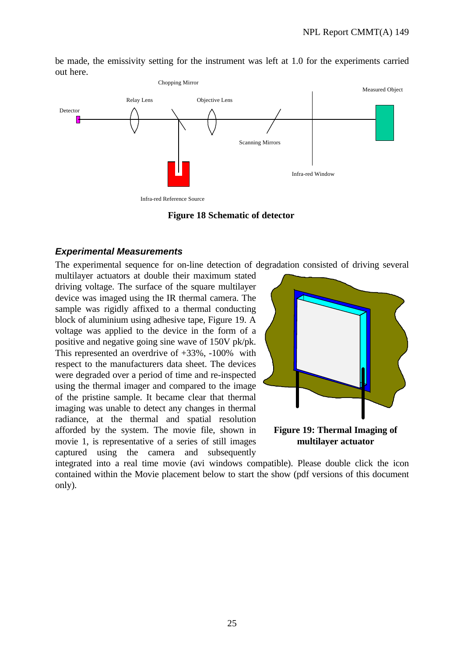be made, the emissivity setting for the instrument was left at 1.0 for the experiments carried out here.



**Figure 18 Schematic of detector**

#### *Experimental Measurements*

The experimental sequence for on-line detection of degradation consisted of driving several

multilayer actuators at double their maximum stated driving voltage. The surface of the square multilayer device was imaged using the IR thermal camera. The sample was rigidly affixed to a thermal conducting block of aluminium using adhesive tape, Figure 19. A voltage was applied to the device in the form of a positive and negative going sine wave of 150V pk/pk. This represented an overdrive of +33%, -100% with respect to the manufacturers data sheet. The devices were degraded over a period of time and re-inspected using the thermal imager and compared to the image of the pristine sample. It became clear that thermal imaging was unable to detect any changes in thermal radiance, at the thermal and spatial resolution afforded by the system. The movie file, shown in movie 1, is representative of a series of still images captured using the camera and subsequently



**multilayer actuator**

integrated into a real time movie (avi windows compatible). Please double click the icon contained within the Movie placement below to start the show (pdf versions of this document only).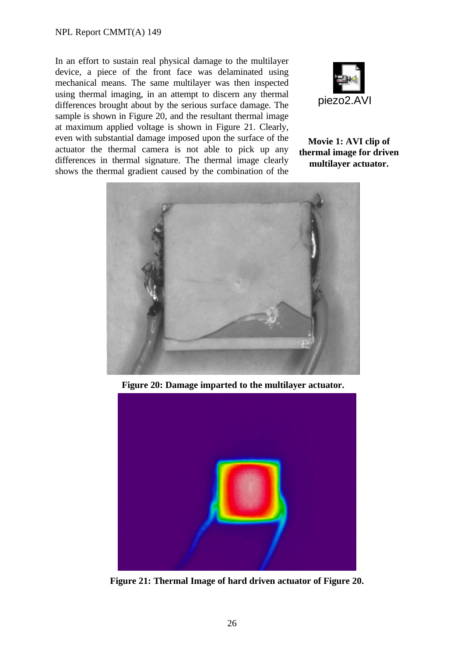#### NPL Report CMMT(A) 149

In an effort to sustain real physical damage to the multilayer device, a piece of the front face was delaminated using mechanical means. The same multilayer was then inspected using thermal imaging, in an attempt to discern any thermal differences brought about by the serious surface damage. The sample is shown in Figure 20, and the resultant thermal image at maximum applied voltage is shown in Figure 21. Clearly, even with substantial damage imposed upon the surface of the actuator the thermal camera is not able to pick up any differences in thermal signature. The thermal image clearly shows the thermal gradient caused by the combination of the



#### **Movie 1: AVI clip of thermal image for driven multilayer actuator.**



**Figure 20: Damage imparted to the multilayer actuator.**



**Figure 21: Thermal Image of hard driven actuator of Figure 20.**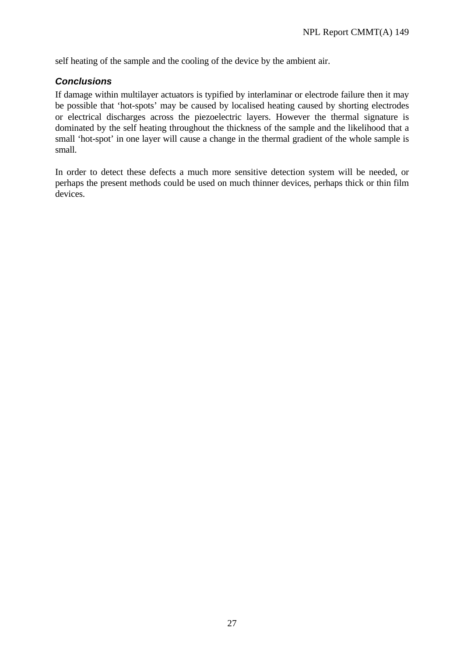self heating of the sample and the cooling of the device by the ambient air.

#### *Conclusions*

If damage within multilayer actuators is typified by interlaminar or electrode failure then it may be possible that 'hot-spots' may be caused by localised heating caused by shorting electrodes or electrical discharges across the piezoelectric layers. However the thermal signature is dominated by the self heating throughout the thickness of the sample and the likelihood that a small 'hot-spot' in one layer will cause a change in the thermal gradient of the whole sample is small.

In order to detect these defects a much more sensitive detection system will be needed, or perhaps the present methods could be used on much thinner devices, perhaps thick or thin film devices.